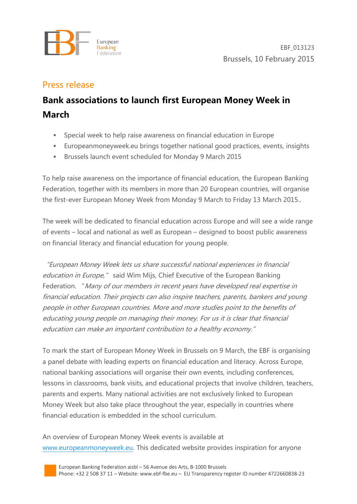

## Press release

## **Bank associations to launch first European Money Week in March**

- Special week to help raise awareness on financial education in Europe
- Europeanmoneyweek.eu brings together national good practices, events, insights
- Brussels launch event scheduled for Monday 9 March 2015

To help raise awareness on the importance of financial education, the European Banking Federation, together with its members in more than 20 European countries, will organise the first-ever European Money Week from Monday 9 March to Friday 13 March 2015..

The week will be dedicated to financial education across Europe and will see a wide range of events – local and national as well as European – designed to boost public awareness on financial literacy and financial education for young people.

"European Money Week lets us share successful national experiences in financial education in Europe," said Wim Mijs, Chief Executive of the European Banking Federation. "Many of our members in recent years have developed real expertise in financial education. Their projects can also inspire teachers, parents, bankers and young people in other European countries. More and more studies point to the benefits of educating young people on managing their money. For us it is clear that financial education can make an important contribution to a healthy economy."

To mark the start of European Money Week in Brussels on 9 March, the EBF is organising a panel debate with leading experts on financial education and literacy. Across Europe, national banking associations will organise their own events, including conferences, lessons in classrooms, bank visits, and educational projects that involve children, teachers, parents and experts. Many national activities are not exclusively linked to European Money Week but also take place throughout the year, especially in countries where financial education is embedded in the school curriculum.

An overview of European Money Week events is available at [www.europeanmoneyweek.eu.](http://www.europeanmoneyweek.eu/) This dedicated website provides inspiration for anyone